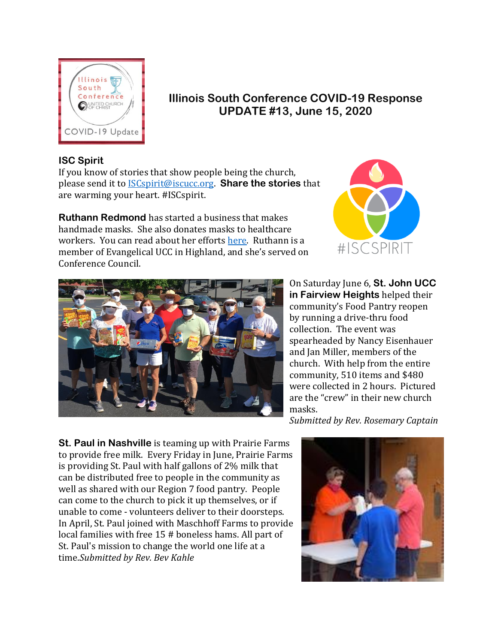

# **Illinois South Conference COVID-19 Response UPDATE #13, June 15, 2020**

## **ISC Spirit**

If you know of stories that show people being the church, please send it to [ISCspirit@iscucc.org.](mailto:ISCspirit@iscucc.org) **Share the stories** that are warming your heart. #ISCspirit.

**Ruthann Redmond** has started a business that makes handmade masks. She also donates masks to healthcare workers. You can read about her efforts [here.](https://advantagenews.com/dabblerscreatives-pivots-passion-into-small-business-during-/) Ruthann is a member of Evangelical UCC in Highland, and she's served on Conference Council.





On Saturday June 6, **St. John UCC in Fairview Heights** helped their community's Food Pantry reopen by running a drive-thru food collection. The event was spearheaded by Nancy Eisenhauer and Jan Miller, members of the church. With help from the entire community, 510 items and \$480 were collected in 2 hours. Pictured are the "crew" in their new church masks.

*Submitted by Rev. Rosemary Captain* 

**St. Paul in Nashville** is teaming up with Prairie Farms to provide free milk. Every Friday in June, Prairie Farms is providing St. Paul with half gallons of 2% milk that can be distributed free to people in the community as well as shared with our Region 7 food pantry. People can come to the church to pick it up themselves, or if unable to come - volunteers deliver to their doorsteps. In April, St. Paul joined with Maschhoff Farms to provide local families with free 15 # boneless hams. All part of St. Paul's mission to change the world one life at a time.*Submitted by Rev. Bev Kahle*

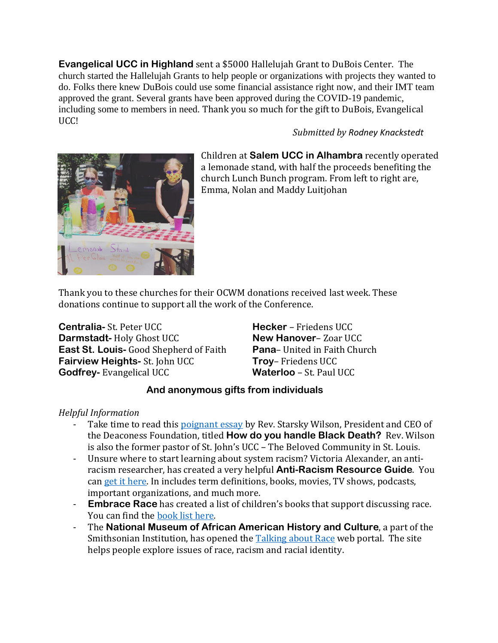**Evangelical UCC in Highland** sent a \$5000 Hallelujah Grant to DuBois Center. The church started the Hallelujah Grants to help people or organizations with projects they wanted to do. Folks there knew DuBois could use some financial assistance right now, and their IMT team approved the grant. Several grants have been approved during the COVID-19 pandemic, including some to members in need. Thank you so much for the gift to DuBois, Evangelical UCC!

### *Submitted by Rodney Knackstedt*



Children at **Salem UCC in Alhambra** recently operated a lemonade stand, with half the proceeds benefiting the church Lunch Bunch program. From left to right are, Emma, Nolan and Maddy Luitjohan

Thank you to these churches for their OCWM donations received last week. These donations continue to support all the work of the Conference.

**Centralia-** St. Peter UCC **Darmstadt-** Holy Ghost UCC **East St. Louis-** Good Shepherd of Faith **Fairview Heights-** St. John UCC **Godfrey-** Evangelical UCC

**Hecker** – Friedens UCC **New Hanover**– Zoar UCC **Pana**– United in Faith Church **Troy**– Friedens UCC **Waterloo** – St. Paul UCC

### **And anonymous gifts from individuals**

### *Helpful Information*

- Take time to read this [poignant essay](https://medium.com/@starskyw/how-do-you-handle-black-death-333fc5093bb3) by Rev. Starsky Wilson, President and CEO of the Deaconess Foundation, titled **How do you handle Black Death?** Rev. Wilson is also the former pastor of St. John's UCC – The Beloved Community in St. Louis.
- Unsure where to start learning about system racism? Victoria Alexander, an antiracism researcher, has created a very helpful **Anti-Racism Resource Guide**. You can [get it here.](https://tinyurl.com/antiracistresourceguide) In includes term definitions, books, movies, TV shows, podcasts, important organizations, and much more.
- **Embrace Race** has created a list of children's books that support discussing race. You can find the [book list here](https://www.embracerace.org/resources/26-childrens-books-to-support-conversations-on-race-racism-resistance)*.*
- The **National Museum of African American History and Culture**, a part of the Smithsonian Institution, has opened the [Talking about Race](https://nmaahc.si.edu/learn/talking-about-race) web portal. The site helps people explore issues of race, racism and racial identity.